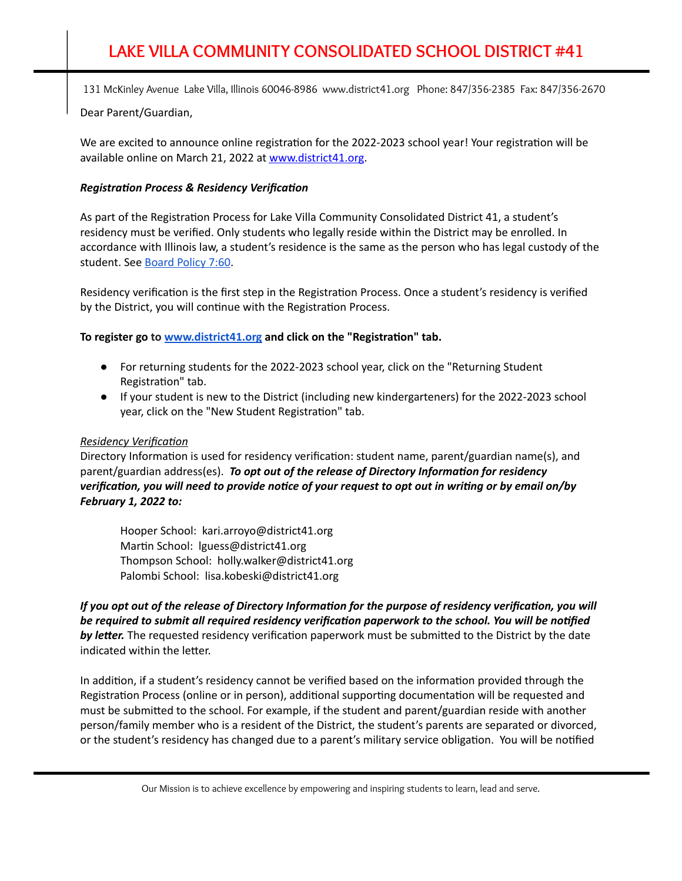Dear Parent/Guardian,

We are excited to announce online registration for the 2022-2023 school year! Your registration will be available online on March 21, 2022 at [www.district41.org](http://www.district41.org/).

## **Registration Process & Residency Verification**

As part of the Registration Process for Lake Villa Community Consolidated District 41, a student's residency must be verified. Only students who legally reside within the District may be enrolled. In accordance with Illinois law, a student's residence is the same as the person who has legal custody of the student. See [Board](https://www.district41.org/Page/194) Policy 7:60.

Residency verification is the first step in the Registration Process. Once a student's residency is verified by the District, you will continue with the Registration Process.

**To register go to [www.district41.org](http://www.district41.org/) and click on the "Registraon" tab.**

- For returning students for the 2022-2023 school year, click on the "Returning Student Registration" tab.
- If your student is new to the District (including new kindergarteners) for the 2022-2023 school year, click on the "New Student Registration" tab.

### **Residency Verification**

Directory Information is used for residency verification: student name, parent/guardian name(s), and  $\alpha$  *parent/guardian address(es). To opt out of the release of Directory Information for residency* verification, you will need to provide notice of your request to opt out in writing or by email on/by *February 1, 2022 to:*

Hooper School: kari.arroyo@district41.org Martin School: Iguess@district41.org Thompson School: holly.walker@district41.org Palombi School: lisa.kobeski@district41.org

If you opt out of the release of Directory Information for the purpose of residency verification, you will *be required to submit all required residency verificaon paperwork to the school. You will be nofied* **by letter.** The requested residency verification paperwork must be submitted to the District by the date indicated within the letter.

In addition, if a student's residency cannot be verified based on the information provided through the Registration Process (online or in person), additional supporting documentation will be requested and must be submitted to the school. For example, if the student and parent/guardian reside with another person/family member who is a resident of the District, the student's parents are separated or divorced, or the student's residency has changed due to a parent's military service obligation. You will be notified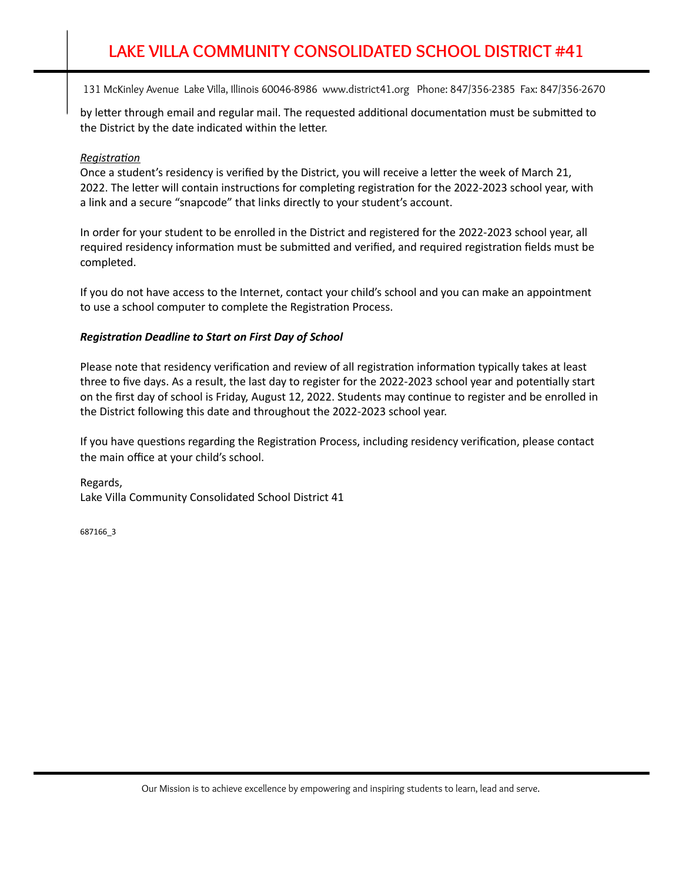by letter through email and regular mail. The requested additional documentation must be submitted to the District by the date indicated within the letter.

#### *Registration*

Once a student's residency is verified by the District, you will receive a letter the week of March 21, 2022. The letter will contain instructions for completing registration for the 2022-2023 school year, with a link and a secure "snapcode" that links directly to your student's account.

In order for your student to be enrolled in the District and registered for the 2022-2023 school year, all required residency information must be submitted and verified, and required registration fields must be completed.

If you do not have access to the Internet, contact your child's school and you can make an appointment to use a school computer to complete the Registration Process.

#### *Registration Deadline to Start on First Day of School*

Please note that residency verification and review of all registration information typically takes at least three to five days. As a result, the last day to register for the 2022-2023 school year and potentially start on the first day of school is Friday, August 12, 2022. Students may continue to register and be enrolled in the District following this date and throughout the 2022-2023 school year.

If you have questions regarding the Registration Process, including residency verification, please contact the main office at your child's school.

Regards, Lake Villa Community Consolidated School District 41

687166\_3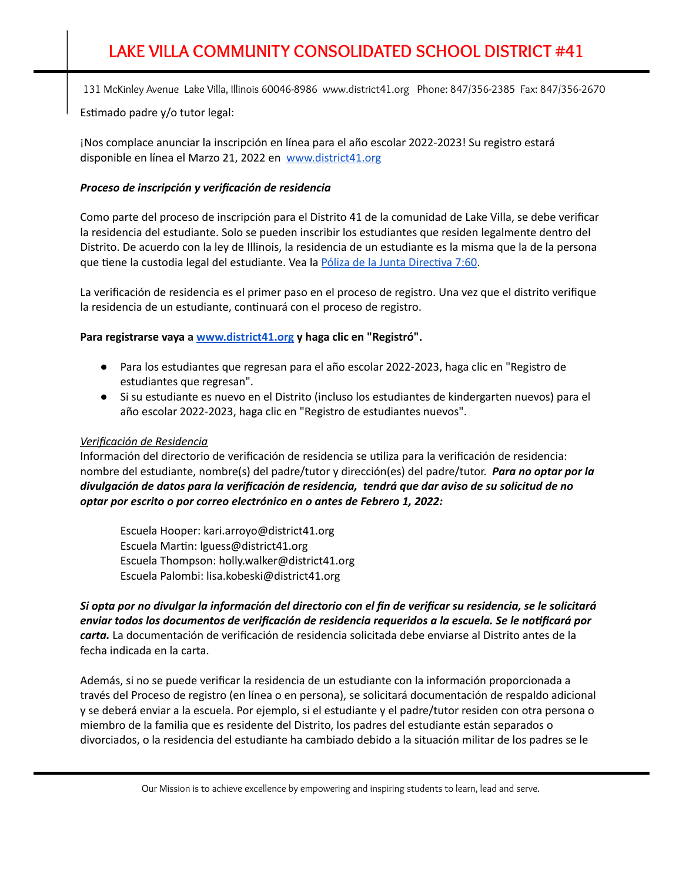Estimado padre y/o tutor legal:

¡Nos complace anunciar la inscripción en línea para el año escolar 2022-2023! Su registro estará disponible en línea el Marzo 21, 2022 en [www.district41.org](http://www.district41.org/)

### *Proceso de inscripción y verificación de residencia*

Como parte del proceso de inscripción para el Distrito 41 de la comunidad de Lake Villa, se debe verificar la residencia del estudiante. Solo se pueden inscribir los estudiantes que residen legalmente dentro del Distrito. De acuerdo con la ley de Illinois, la residencia de un estudiante es la misma que la de la persona que tiene la custodia legal del estudiante. Vea la Póliza de la Junta Directiva 7:60.

La verificación de residencia es el primer paso en el proceso de registro. Una vez que el distrito verifique la residencia de un estudiante, continuará con el proceso de registro.

**Para registrarse vaya a [www.district41.org](http://www.district41.org/) y haga clic en "Registró".**

- Para los estudiantes que regresan para el año escolar 2022-2023, haga clic en "Registro de estudiantes que regresan".
- Si su estudiante es nuevo en el Distrito (incluso los estudiantes de kindergarten nuevos) para el año escolar 2022-2023, haga clic en "Registro de estudiantes nuevos".

## *Verificación de Residencia*

Información del directorio de verificación de residencia se utiliza para la verificación de residencia: nombre del estudiante, nombre(s) del padre/tutor y dirección(es) del padre/tutor. *Para no optar por la divulgación de datos para la verificación de residencia, tendrá que dar aviso de su solicitud de no optar por escrito o por correo electrónico en o antes de Febrero 1, 2022:*

Escuela Hooper: kari.arroyo@district41.org Escuela Martin: lguess@district41.org Escuela Thompson: holly.walker@district41.org Escuela Palombi: lisa.kobeski@district41.org

Si opta por no divulgar la información del directorio con el fin de verificar su residencia, se le solicitará *enviar todos los documentos de verificación de residencia requeridos a la escuela. Se le noficará por carta.* La documentación de verificación de residencia solicitada debe enviarse al Distrito antes de la fecha indicada en la carta.

Además, si no se puede verificar la residencia de un estudiante con la información proporcionada a través del Proceso de registro (en línea o en persona), se solicitará documentación de respaldo adicional y se deberá enviar a la escuela. Por ejemplo, si el estudiante y el padre/tutor residen con otra persona o miembro de la familia que es residente del Distrito, los padres del estudiante están separados o divorciados, o la residencia del estudiante ha cambiado debido a la situación militar de los padres se le